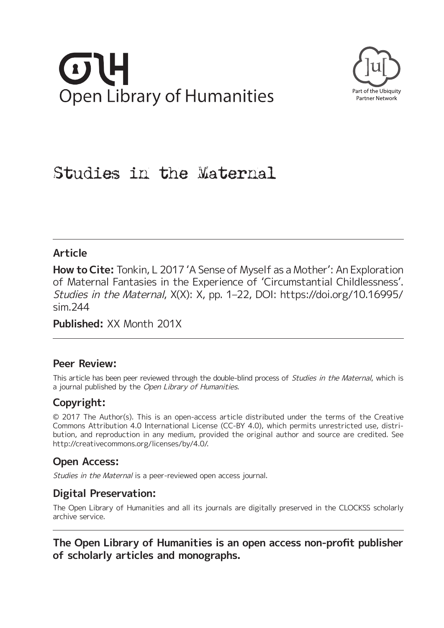# **Open Library of Humanities**



# Studies in the Maternal

## **Article**

**How to Cite:** Tonkin, L 2017 'A Sense of Myself as a Mother': An Exploration of Maternal Fantasies in the Experience of 'Circumstantial Childlessness'. Studies in the Maternal, X(X): X, pp. 1–22, DOI: [https://doi.org/10.16995/](https://doi.org/10.16995/sim.244) [sim.244](https://doi.org/10.16995/sim.244)

**Published:** XX Month 201X

### **Peer Review:**

This article has been peer reviewed through the double-blind process of Studies in the Maternal, which is a journal published by the Open Library of Humanities.

## **Copyright:**

© 2017 The Author(s). This is an open-access article distributed under the terms of the Creative Commons Attribution 4.0 International License (CC-BY 4.0), which permits unrestricted use, distribution, and reproduction in any medium, provided the original author and source are credited. See <http://creativecommons.org/licenses/by/4.0/>.

## **Open Access:**

Studies in the Maternal is a peer-reviewed open access journal.

## **Digital Preservation:**

The Open Library of Humanities and all its journals are digitally preserved in the CLOCKSS scholarly archive service.

**The Open Library of Humanities is an open access non-proft publisher of scholarly articles and monographs.**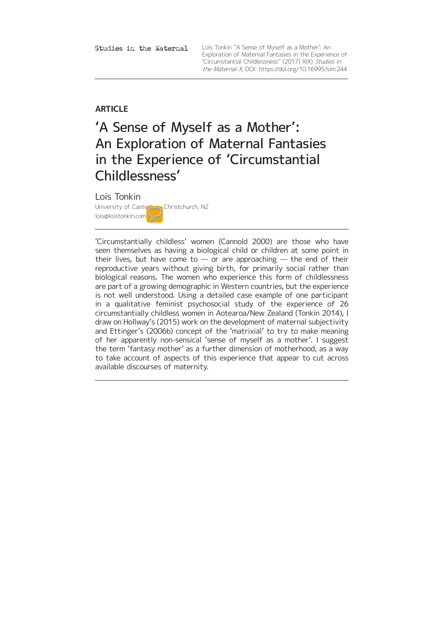Studies in the Maternal

Lois Tonkin ''A Sense of Myself as a Mother': An Exploration of Maternal Fantasies in the Experience of 'Circumstantial Childlessness'' (2017) X(X) Studies in the Maternal X, DOI:<https://doi.org/10.16995/sim.244>

#### **ARTICLE**

## 'A Sense of Myself as a Mother': An Exploration of Maternal Fantasies in the Experience of 'Circumstantial Childlessness'

#### Lois Tonkin

University of Canterbury Christchurch, NZ lois@loistonkin.com

'Circumstantially childless' women (Cannold 2000) are those who have seen themselves as having a biological child or children at some point in their lives, but have come to  $-$  or are approaching  $-$  the end of their reproductive years without giving birth, for primarily social rather than biological reasons. The women who experience this form of childlessness are part of a growing demographic in Western countries, but the experience is not well understood. Using a detailed case example of one participant in a qualitative feminist psychosocial study of the experience of 26 circumstantially childless women in Aotearoa/New Zealand (Tonkin 2014), I draw on Hollway's (2015) work on the development of maternal subjectivity and Ettinger's (2006b) concept of the 'matrixial' to try to make meaning of her apparently non-sensical 'sense of myself as a mother'. I suggest the term 'fantasy mother' as a further dimension of motherhood, as a way to take account of aspects of this experience that appear to cut across available discourses of maternity.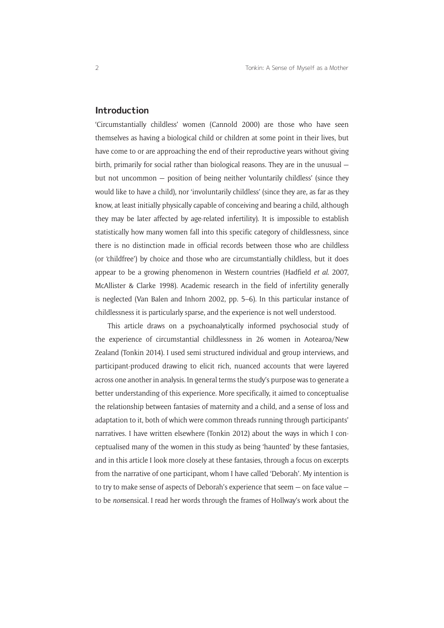#### **Introduction**

'Circumstantially childless' women (Cannold 2000) are those who have seen themselves as having a biological child or children at some point in their lives, but have come to or are approaching the end of their reproductive years without giving birth, primarily for social rather than biological reasons. They are in the unusual but not uncommon — position of being neither 'voluntarily childless' (since they would like to have a child), nor 'involuntarily childless' (since they are, as far as they know, at least initially physically capable of conceiving and bearing a child, although they may be later affected by age-related infertility). It is impossible to establish statistically how many women fall into this specific category of childlessness, since there is no distinction made in official records between those who are childless (or 'childfree') by choice and those who are circumstantially childless, but it does appear to be a growing phenomenon in Western countries (Hadfield *et al*. 2007, McAllister & Clarke 1998). Academic research in the field of infertility generally is neglected (Van Balen and Inhorn 2002, pp. 5–6). In this particular instance of childlessness it is particularly sparse, and the experience is not well understood.

This article draws on a psychoanalytically informed psychosocial study of the experience of circumstantial childlessness in 26 women in Aotearoa/New Zealand (Tonkin 2014). I used semi structured individual and group interviews, and participant-produced drawing to elicit rich, nuanced accounts that were layered across one another in analysis. In general terms the study's purpose was to generate a better understanding of this experience. More specifically, it aimed to conceptualise the relationship between fantasies of maternity and a child, and a sense of loss and adaptation to it, both of which were common threads running through participants' narratives. I have written elsewhere (Tonkin 2012) about the ways in which I conceptualised many of the women in this study as being 'haunted' by these fantasies, and in this article I look more closely at these fantasies, through a focus on excerpts from the narrative of one participant, whom I have called 'Deborah'. My intention is to try to make sense of aspects of Deborah's experience that seem — on face value to be *non*sensical. I read her words through the frames of Hollway's work about the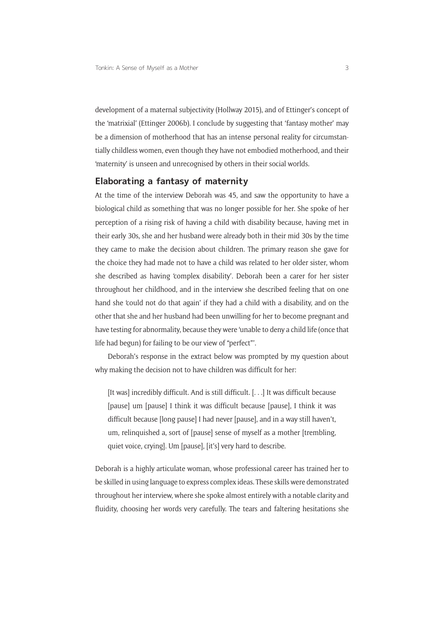development of a maternal subjectivity (Hollway 2015), and of Ettinger's concept of the 'matrixial' (Ettinger 2006b). I conclude by suggesting that 'fantasy mother' may be a dimension of motherhood that has an intense personal reality for circumstantially childless women, even though they have not embodied motherhood, and their 'maternity' is unseen and unrecognised by others in their social worlds.

#### **Elaborating a fantasy of maternity**

At the time of the interview Deborah was 45, and saw the opportunity to have a biological child as something that was no longer possible for her. She spoke of her perception of a rising risk of having a child with disability because, having met in their early 30s, she and her husband were already both in their mid 30s by the time they came to make the decision about children. The primary reason she gave for the choice they had made not to have a child was related to her older sister, whom she described as having 'complex disability'. Deborah been a carer for her sister throughout her childhood, and in the interview she described feeling that on one hand she 'could not do that again' if they had a child with a disability, and on the other that she and her husband had been unwilling for her to become pregnant and have testing for abnormality, because they were 'unable to deny a child life (once that life had begun) for failing to be our view of "perfect"'.

Deborah's response in the extract below was prompted by my question about why making the decision not to have children was difficult for her:

[It was] incredibly difficult. And is still difficult. [...] It was difficult because [pause] um [pause] I think it was difficult because [pause], I think it was difficult because [long pause] I had never [pause], and in a way still haven't, um, relinquished a, sort of [pause] sense of myself as a mother [trembling, quiet voice, crying]. Um [pause], [it's] very hard to describe.

Deborah is a highly articulate woman, whose professional career has trained her to be skilled in using language to express complex ideas. These skills were demonstrated throughout her interview, where she spoke almost entirely with a notable clarity and fluidity, choosing her words very carefully. The tears and faltering hesitations she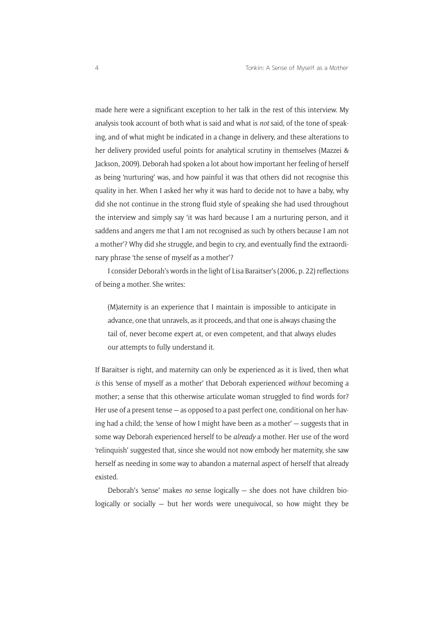made here were a significant exception to her talk in the rest of this interview. My analysis took account of both what is said and what is *not* said, of the tone of speaking, and of what might be indicated in a change in delivery, and these alterations to her delivery provided useful points for analytical scrutiny in themselves (Mazzei & Jackson, 2009). Deborah had spoken a lot about how important her feeling of herself as being 'nurturing' was, and how painful it was that others did not recognise this quality in her. When I asked her why it was hard to decide not to have a baby, why did she not continue in the strong fluid style of speaking she had used throughout the interview and simply say 'it was hard because I am a nurturing person, and it saddens and angers me that I am not recognised as such by others because I am not a mother'? Why did she struggle, and begin to cry, and eventually find the extraordinary phrase 'the sense of myself as a mother'?

I consider Deborah's words in the light of Lisa Baraitser's (2006, p. 22) reflections of being a mother. She writes:

(M)aternity is an experience that I maintain is impossible to anticipate in advance, one that unravels, as it proceeds, and that one is always chasing the tail of, never become expert at, or even competent, and that always eludes our attempts to fully understand it.

If Baraitser is right, and maternity can only be experienced as it is lived, then what *is* this 'sense of myself as a mother' that Deborah experienced *without* becoming a mother; a sense that this otherwise articulate woman struggled to find words for? Her use of a present tense — as opposed to a past perfect one, conditional on her having had a child; the 'sense of how I might have been as a mother' — suggests that in some way Deborah experienced herself to be *already* a mother. Her use of the word 'relinquish' suggested that, since she would not now embody her maternity, she saw herself as needing in some way to abandon a maternal aspect of herself that already existed.

Deborah's 'sense' makes *no* sense logically — she does not have children biologically or socially — but her words were unequivocal, so how might they be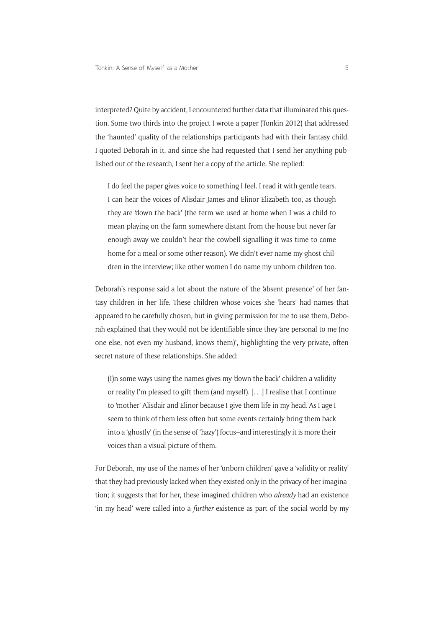interpreted? Quite by accident, I encountered further data that illuminated this question. Some two thirds into the project I wrote a paper (Tonkin 2012) that addressed the 'haunted' quality of the relationships participants had with their fantasy child. I quoted Deborah in it, and since she had requested that I send her anything published out of the research, I sent her a copy of the article. She replied:

I do feel the paper gives voice to something I feel. I read it with gentle tears. I can hear the voices of Alisdair James and Elinor Elizabeth too, as though they are 'down the back' (the term we used at home when I was a child to mean playing on the farm somewhere distant from the house but never far enough away we couldn't hear the cowbell signalling it was time to come home for a meal or some other reason). We didn't ever name my ghost children in the interview; like other women I do name my unborn children too.

Deborah's response said a lot about the nature of the 'absent presence' of her fantasy children in her life. These children whose voices she 'hears' had names that appeared to be carefully chosen, but in giving permission for me to use them, Deborah explained that they would not be identifiable since they 'are personal to me (no one else, not even my husband, knows them)', highlighting the very private, often secret nature of these relationships. She added:

(I)n some ways using the names gives my 'down the back' children a validity or reality I'm pleased to gift them (and myself). [. . .] I realise that I continue to 'mother' Alisdair and Elinor because I give them life in my head. As I age I seem to think of them less often but some events certainly bring them back into a 'ghostly' (in the sense of 'hazy') focus–and interestingly it is more their voices than a visual picture of them.

For Deborah, my use of the names of her 'unborn children' gave a 'validity or reality' that they had previously lacked when they existed only in the privacy of her imagination; it suggests that for her, these imagined children who *already* had an existence 'in my head' were called into a *further* existence as part of the social world by my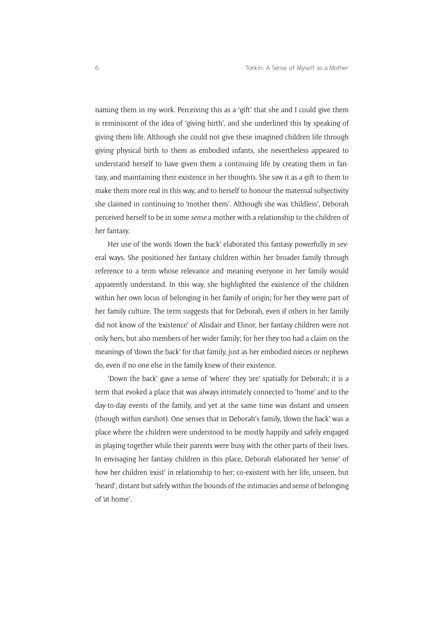naming them in my work. Perceiving this as a 'gift' that she and I could give them is reminiscent of the idea of 'giving birth', and she underlined this by speaking of giving them life. Although she could not give these imagined children life through giving physical birth to them as embodied infants, she nevertheless appeared to understand herself to have given them a continuing life by creating them in fantasy, and maintaining their existence in her thoughts. She saw it as a gift to them to make them more real in this way, and to herself to honour the maternal subjectivity she claimed in continuing to 'mother them'. Although she was 'childless', Deborah perceived herself to be in some *sense* a mother with a relationship to the children of her fantasy.

Her use of the words 'down the back' elaborated this fantasy powerfully in several ways. She positioned her fantasy children within her broader family through reference to a term whose relevance and meaning everyone in her family would apparently understand. In this way, she highlighted the existence of the children within her own locus of belonging in her family of origin; for her they were part of her family culture. The term suggests that for Deborah, even if others in her family did not know of the 'existence' of Alisdair and Elinor, her fantasy children were not only hers, but also members of her wider family; for her they too had a claim on the meanings of 'down the back' for that family, just as her embodied nieces or nephews do, even if no one else in the family knew of their existence.

'Down the back' gave a sense of 'where' they 'are' spatially for Deborah; it is a term that evoked a place that was always intimately connected to 'home' and to the day-to-day events of the family, and yet at the same time was distant and unseen (though within earshot). One senses that in Deborah's family, 'down the back' was a place where the children were understood to be mostly happily and safely engaged in playing together while their parents were busy with the other parts of their lives. In envisaging her fantasy children in this place, Deborah elaborated her 'sense' of how her children 'exist' in relationship to her; co-existent with her life, unseen, but 'heard', distant but safely within the bounds of the intimacies and sense of belonging of 'at home'.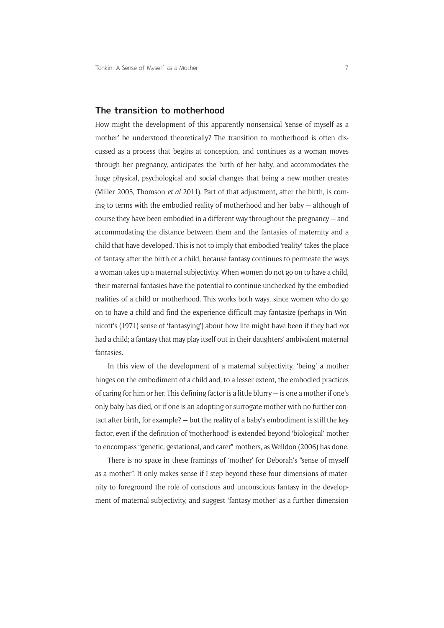#### **The transition to motherhood**

How might the development of this apparently nonsensical 'sense of myself as a mother' be understood theoretically? The transition to motherhood is often discussed as a process that begins at conception, and continues as a woman moves through her pregnancy, anticipates the birth of her baby, and accommodates the huge physical, psychological and social changes that being a new mother creates (Miller 2005, Thomson *et al* 2011). Part of that adjustment, after the birth, is coming to terms with the embodied reality of motherhood and her baby — although of course they have been embodied in a different way throughout the pregnancy — and accommodating the distance between them and the fantasies of maternity and a child that have developed. This is not to imply that embodied 'reality' takes the place of fantasy after the birth of a child, because fantasy continues to permeate the ways a woman takes up a maternal subjectivity. When women do not go on to have a child, their maternal fantasies have the potential to continue unchecked by the embodied realities of a child or motherhood. This works both ways, since women who do go on to have a child and find the experience difficult may fantasize (perhaps in Winnicott's (1971) sense of 'fantasying') about how life might have been if they had *not* had a child; a fantasy that may play itself out in their daughters' ambivalent maternal fantasies.

In this view of the development of a maternal subjectivity, 'being' a mother hinges on the embodiment of a child and, to a lesser extent, the embodied practices of caring for him or her. This defining factor is a little blurry — is one a mother if one's only baby has died, or if one is an adopting or surrogate mother with no further contact after birth, for example? — but the reality of a baby's embodiment is still the key factor, even if the definition of 'motherhood' is extended beyond 'biological' mother to encompass "genetic, gestational, and carer" mothers, as Welldon (2006) has done.

There is no space in these framings of 'mother' for Deborah's "sense of myself as a mother". It only makes sense if I step beyond these four dimensions of maternity to foreground the role of conscious and unconscious fantasy in the development of maternal subjectivity, and suggest 'fantasy mother' as a further dimension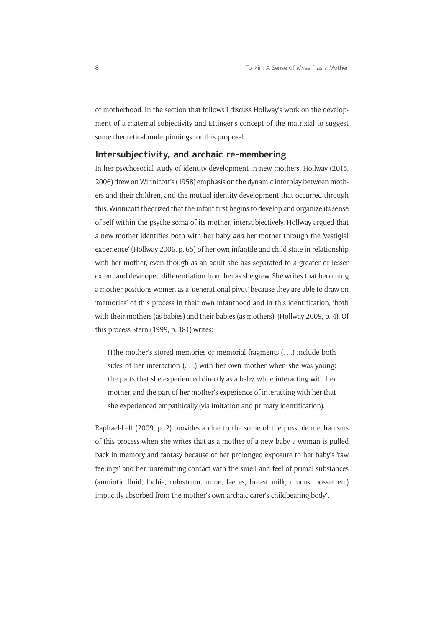of motherhood. In the section that follows I discuss Hollway's work on the development of a maternal subjectivity and Ettinger's concept of the matrixial to suggest some theoretical underpinnings for this proposal.

#### **Intersubjectivity, and archaic re-membering**

In her psychosocial study of identity development in new mothers, Hollway (2015, 2006) drew on Winnicott's (1958) emphasis on the dynamic interplay between mothers and their children, and the mutual identity development that occurred through this. Winnicott theorized that the infant first begins to develop and organize its sense of self within the psyche-soma of its mother, intersubjectively. Hollway argued that a new mother identifies both with her baby *and* her mother through the 'vestigial experience' (Hollway 2006, p. 65) of her own infantile and child state in relationship with her mother, even though as an adult she has separated to a greater or lesser extent and developed differentiation from her as she grew. She writes that becoming a mother positions women as a 'generational pivot' because they are able to draw on 'memories' of this process in their own infanthood and in this identification, 'both with their mothers (as babies) and their babies (as mothers)' (Hollway 2009, p. 4). Of this process Stern (1999, p. 181) writes:

(T)he mother's stored memories or memorial fragments (. . .) include both sides of her interaction  $( \ldots )$  with her own mother when she was young: the parts that she experienced directly as a baby, while interacting with her mother, and the part of her mother's experience of interacting with her that she experienced empathically (via imitation and primary identification).

Raphael-Leff (2009, p. 2) provides a clue to the some of the possible mechanisms of this process when she writes that as a mother of a new baby a woman is pulled back in memory and fantasy because of her prolonged exposure to her baby's 'raw feelings' and her 'unremitting contact with the smell and feel of primal substances (amniotic fluid, lochia, colostrum, urine, faeces, breast milk, mucus, posset etc) implicitly absorbed from the mother's own archaic carer's childbearing body'.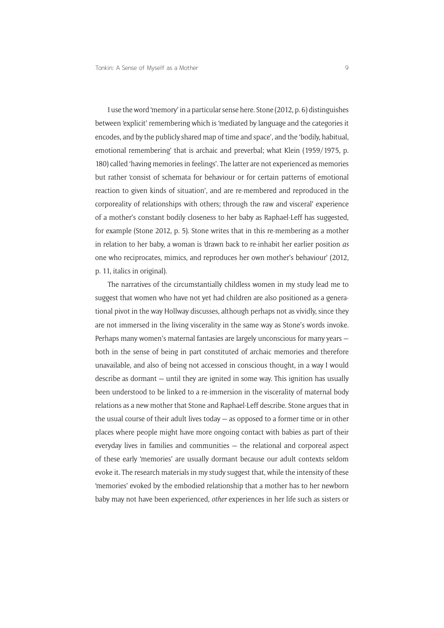I use the word 'memory' in a particular sense here. Stone (2012, p. 6) distinguishes between 'explicit' remembering which is 'mediated by language and the categories it encodes, and by the publicly shared map of time and space', and the 'bodily, habitual, emotional remembering' that is archaic and preverbal; what Klein (1959/1975, p. 180) called 'having memories in feelings'. The latter are not experienced as memories but rather 'consist of schemata for behaviour or for certain patterns of emotional reaction to given kinds of situation', and are re-membered and reproduced in the corporeality of relationships with others; through the raw and visceral' experience of a mother's constant bodily closeness to her baby as Raphael-Leff has suggested, for example (Stone 2012, p. 5). Stone writes that in this re-membering as a mother in relation to her baby, a woman is 'drawn back to re-inhabit her earlier position *as* one who reciprocates, mimics, and reproduces her own mother's behaviour' (2012, p. 11, italics in original).

The narratives of the circumstantially childless women in my study lead me to suggest that women who have not yet had children are also positioned as a generational pivot in the way Hollway discusses, although perhaps not as vividly, since they are not immersed in the living viscerality in the same way as Stone's words invoke. Perhaps many women's maternal fantasies are largely unconscious for many years both in the sense of being in part constituted of archaic memories and therefore unavailable, and also of being not accessed in conscious thought, in a way I would describe as dormant — until they are ignited in some way. This ignition has usually been understood to be linked to a re-immersion in the viscerality of maternal body relations as a new mother that Stone and Raphael-Leff describe. Stone argues that in the usual course of their adult lives today — as opposed to a former time or in other places where people might have more ongoing contact with babies as part of their everyday lives in families and communities — the relational and corporeal aspect of these early 'memories' are usually dormant because our adult contexts seldom evoke it. The research materials in my study suggest that, while the intensity of these 'memories' evoked by the embodied relationship that a mother has to her newborn baby may not have been experienced, *other* experiences in her life such as sisters or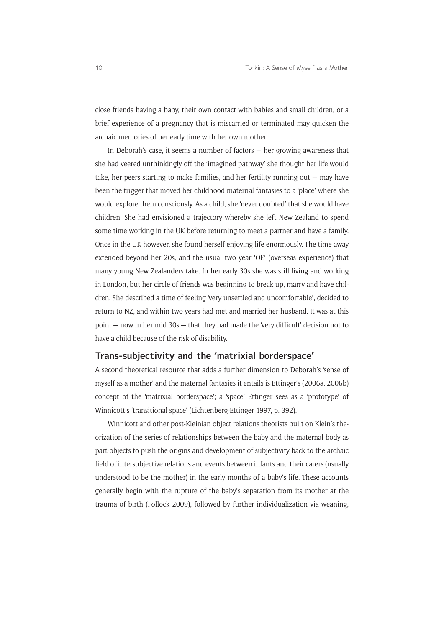close friends having a baby, their own contact with babies and small children, or a brief experience of a pregnancy that is miscarried or terminated may quicken the archaic memories of her early time with her own mother.

In Deborah's case, it seems a number of factors — her growing awareness that she had veered unthinkingly off the 'imagined pathway' she thought her life would take, her peers starting to make families, and her fertility running out — may have been the trigger that moved her childhood maternal fantasies to a 'place' where she would explore them consciously. As a child, she 'never doubted' that she would have children. She had envisioned a trajectory whereby she left New Zealand to spend some time working in the UK before returning to meet a partner and have a family. Once in the UK however, she found herself enjoying life enormously. The time away extended beyond her 20s, and the usual two year 'OE' (overseas experience) that many young New Zealanders take. In her early 30s she was still living and working in London, but her circle of friends was beginning to break up, marry and have children. She described a time of feeling 'very unsettled and uncomfortable', decided to return to NZ, and within two years had met and married her husband. It was at this point — now in her mid 30s — that they had made the 'very difficult' decision not to have a child because of the risk of disability.

#### **Trans-subjectivity and the 'matrixial borderspace'**

A second theoretical resource that adds a further dimension to Deborah's 'sense of myself as a mother' and the maternal fantasies it entails is Ettinger's (2006a, 2006b) concept of the 'matrixial borderspace'; a 'space' Ettinger sees as a 'prototype' of Winnicott's 'transitional space' (Lichtenberg-Ettinger 1997, p. 392).

Winnicott and other post-Kleinian object relations theorists built on Klein's theorization of the series of relationships between the baby and the maternal body as part-objects to push the origins and development of subjectivity back to the archaic field of intersubjective relations and events between infants and their carers (usually understood to be the mother) in the early months of a baby's life. These accounts generally begin with the rupture of the baby's separation from its mother at the trauma of birth (Pollock 2009), followed by further individualization via weaning,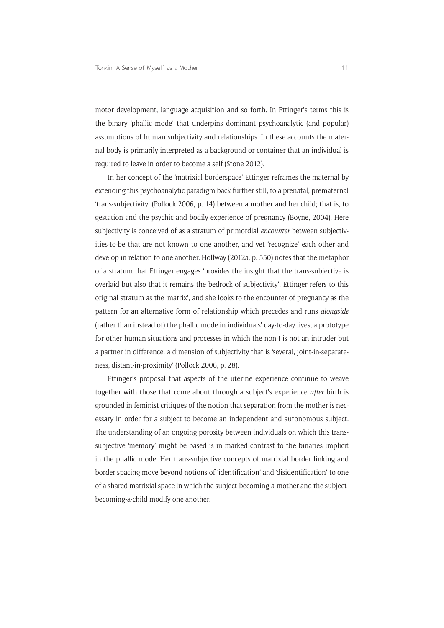motor development, language acquisition and so forth. In Ettinger's terms this is the binary 'phallic mode' that underpins dominant psychoanalytic (and popular) assumptions of human subjectivity and relationships. In these accounts the maternal body is primarily interpreted as a background or container that an individual is required to leave in order to become a self (Stone 2012).

In her concept of the 'matrixial borderspace' Ettinger reframes the maternal by extending this psychoanalytic paradigm back further still, to a prenatal, prematernal 'trans-subjectivity' (Pollock 2006, p. 14) between a mother and her child; that is, to gestation and the psychic and bodily experience of pregnancy (Boyne, 2004). Here subjectivity is conceived of as a stratum of primordial *encounter* between subjectivities-to-be that are not known to one another, and yet 'recognize' each other and develop in relation to one another. Hollway (2012a, p. 550) notes that the metaphor of a stratum that Ettinger engages 'provides the insight that the trans-subjective is overlaid but also that it remains the bedrock of subjectivity'. Ettinger refers to this original stratum as the 'matrix', and she looks to the encounter of pregnancy as the pattern for an alternative form of relationship which precedes and runs *alongside* (rather than instead of) the phallic mode in individuals' day-to-day lives; a prototype for other human situations and processes in which the non-I is not an intruder but a partner in difference, a dimension of subjectivity that is 'several, joint-in-separateness, distant-in-proximity' (Pollock 2006, p. 28).

Ettinger's proposal that aspects of the uterine experience continue to weave together with those that come about through a subject's experience *after* birth is grounded in feminist critiques of the notion that separation from the mother is necessary in order for a subject to become an independent and autonomous subject. The understanding of an ongoing porosity between individuals on which this transsubjective 'memory' might be based is in marked contrast to the binaries implicit in the phallic mode. Her trans-subjective concepts of matrixial border linking and border spacing move beyond notions of 'identification' and 'disidentification' to one of a shared matrixial space in which the subject-becoming-a-mother and the subjectbecoming-a-child modify one another.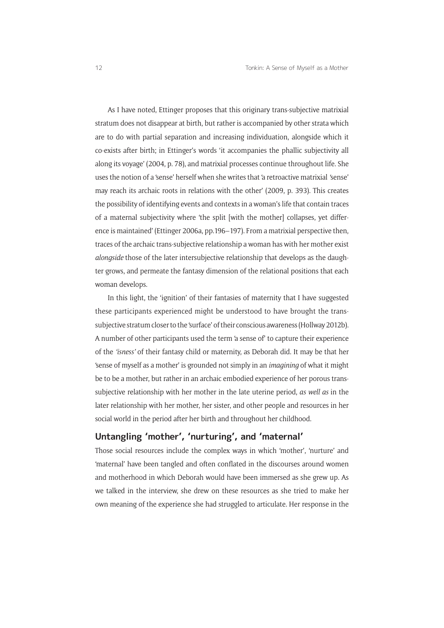As I have noted, Ettinger proposes that this originary trans-subjective matrixial stratum does not disappear at birth, but rather is accompanied by other strata which are to do with partial separation and increasing individuation, alongside which it co-exists after birth; in Ettinger's words 'it accompanies the phallic subjectivity all along its voyage' (2004, p. 78), and matrixial processes continue throughout life. She uses the notion of a 'sense' herself when she writes that 'a retroactive matrixial *'*sense' may reach its archaic roots in relations with the other' (2009, p. 393). This creates the possibility of identifying events and contexts in a woman's life that contain traces of a maternal subjectivity where 'the split [with the mother] collapses, yet difference is maintained' (Ettinger 2006a, pp.196–197). From a matrixial perspective then, traces of the archaic trans-subjective relationship a woman has with her mother exist *alongside* those of the later intersubjective relationship that develops as the daughter grows, and permeate the fantasy dimension of the relational positions that each woman develops.

In this light, the 'ignition' of their fantasies of maternity that I have suggested these participants experienced might be understood to have brought the transsubjective stratum closer to the 'surface' of their conscious awareness (Hollway 2012b). A number of other participants used the term 'a sense of' to capture their experience of the *'isness'* of their fantasy child or maternity, as Deborah did. It may be that her 'sense of myself as a mother' is grounded not simply in an *imagining* of what it might be to be a mother, but rather in an archaic embodied experience of her porous transsubjective relationship with her mother in the late uterine period, *as well as* in the later relationship with her mother, her sister, and other people and resources in her social world in the period after her birth and throughout her childhood.

#### **Untangling 'mother', 'nurturing', and 'maternal'**

Those social resources include the complex ways in which 'mother', 'nurture' and 'maternal' have been tangled and often conflated in the discourses around women and motherhood in which Deborah would have been immersed as she grew up. As we talked in the interview, she drew on these resources as she tried to make her own meaning of the experience she had struggled to articulate. Her response in the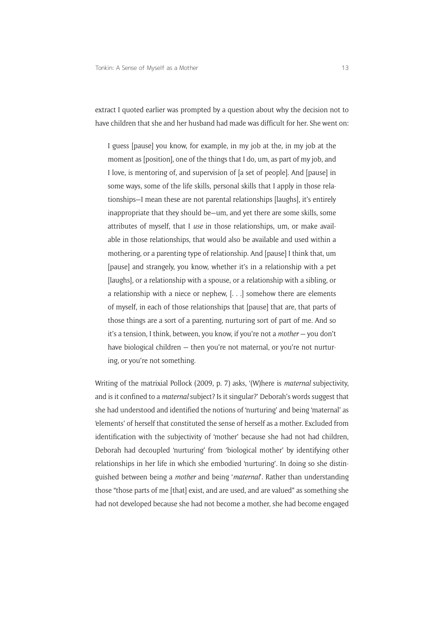extract I quoted earlier was prompted by a question about why the decision not to have children that she and her husband had made was difficult for her. She went on:

I guess [pause] you know, for example, in my job at the, in my job at the moment as [position], one of the things that I do, um, as part of my job, and I love, is mentoring of, and supervision of [a set of people]. And [pause] in some ways, some of the life skills, personal skills that I apply in those relationships—I mean these are not parental relationships [laughs], it's entirely inappropriate that they should be—um, and yet there are some skills, some attributes of myself, that I *use* in those relationships, um, or make available in those relationships, that would also be available and used within a mothering, or a parenting type of relationship. And [pause] I think that, um [pause] and strangely, you know, whether it's in a relationship with a pet [laughs], or a relationship with a spouse, or a relationship with a sibling, or a relationship with a niece or nephew, [. . .] somehow there are elements of myself, in each of those relationships that [pause] that are, that parts of those things are a sort of a parenting, nurturing sort of part of me. And so it's a tension, I think, between, you know, if you're not a *mother* — you don't have biological children — then you're not maternal, or you're not nurturing, or you're not something.

Writing of the matrixial Pollock (2009, p. 7) asks, '(W)here is *maternal* subjectivity, and is it confined to a *maternal* subject? Is it singular?' Deborah's words suggest that she had understood and identified the notions of 'nurturing' and being 'maternal' as 'elements' of herself that constituted the sense of herself as a mother. Excluded from identification with the subjectivity of 'mother' because she had not had children, Deborah had decoupled 'nurturing' from 'biological mother' by identifying other relationships in her life in which she embodied 'nurturing'. In doing so she distinguished between being a *mother* and being '*maternal*'. Rather than understanding those "those parts of me [that] exist, and are used, and are valued" as something she had not developed because she had not become a mother, she had become engaged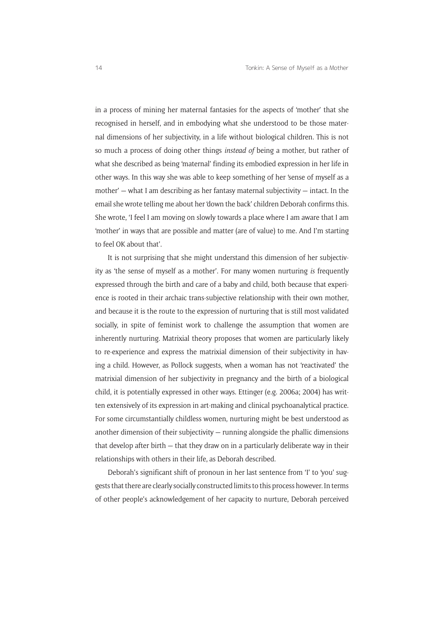in a process of mining her maternal fantasies for the aspects of 'mother' that she recognised in herself, and in embodying what she understood to be those maternal dimensions of her subjectivity, in a life without biological children. This is not so much a process of doing other things *instead of* being a mother, but rather of what she described as being 'maternal' finding its embodied expression in her life in other ways. In this way she was able to keep something of her 'sense of myself as a mother'  $-$  what I am describing as her fantasy maternal subjectivity  $-$  intact. In the email she wrote telling me about her 'down the back' children Deborah confirms this. She wrote, 'I feel I am moving on slowly towards a place where I am aware that I am 'mother' in ways that are possible and matter (are of value) to me. And I'm starting to feel OK about that'.

It is not surprising that she might understand this dimension of her subjectivity as 'the sense of myself as a mother'. For many women nurturing *is* frequently expressed through the birth and care of a baby and child, both because that experience is rooted in their archaic trans-subjective relationship with their own mother, and because it is the route to the expression of nurturing that is still most validated socially, in spite of feminist work to challenge the assumption that women are inherently nurturing. Matrixial theory proposes that women are particularly likely to re-experience and express the matrixial dimension of their subjectivity in having a child. However, as Pollock suggests, when a woman has not 'reactivated' the matrixial dimension of her subjectivity in pregnancy and the birth of a biological child, it is potentially expressed in other ways. Ettinger (e.g. 2006a; 2004) has written extensively of its expression in art-making and clinical psychoanalytical practice. For some circumstantially childless women, nurturing might be best understood as another dimension of their subjectivity — running alongside the phallic dimensions that develop after birth — that they draw on in a particularly deliberate way in their relationships with others in their life, as Deborah described.

Deborah's significant shift of pronoun in her last sentence from 'I' to 'you' suggests that there are clearly socially constructed limits to this process however. In terms of other people's acknowledgement of her capacity to nurture, Deborah perceived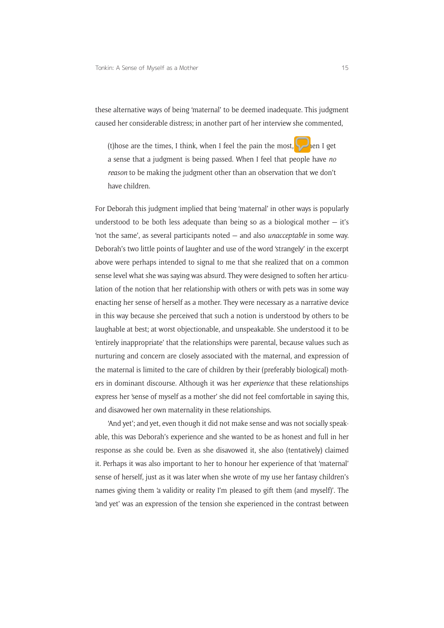these alternative ways of being 'maternal' to be deemed inadequate. This judgment caused her considerable distress; in another part of her interview she commented,

(t)hose are the times, I think, when I feel the pain the most, is when I get a sense that a judgment is being passed. When I feel that people have *no reason* to be making the judgment other than an observation that we don't have children.

For Deborah this judgment implied that being 'maternal' in other ways is popularly understood to be both less adequate than being so as a biological mother  $-$  it's 'not the same', as several participants noted — and also *unacceptable* in some way. Deborah's two little points of laughter and use of the word 'strangely' in the excerpt above were perhaps intended to signal to me that she realized that on a common sense level what she was saying was absurd. They were designed to soften her articulation of the notion that her relationship with others or with pets was in some way enacting her sense of herself as a mother. They were necessary as a narrative device in this way because she perceived that such a notion is understood by others to be laughable at best; at worst objectionable, and unspeakable. She understood it to be 'entirely inappropriate' that the relationships were parental, because values such as nurturing and concern are closely associated with the maternal, and expression of the maternal is limited to the care of children by their (preferably biological) mothers in dominant discourse. Although it was her *experience* that these relationships express her 'sense of myself as a mother' she did not feel comfortable in saying this, and disavowed her own maternality in these relationships.

'And yet'; and yet, even though it did not make sense and was not socially speakable, this was Deborah's experience and she wanted to be as honest and full in her response as she could be. Even as she disavowed it, she also (tentatively) claimed it. Perhaps it was also important to her to honour her experience of that 'maternal' sense of herself, just as it was later when she wrote of my use her fantasy children's names giving them 'a validity or reality I'm pleased to gift them (and myself)'. The 'and yet' was an expression of the tension she experienced in the contrast between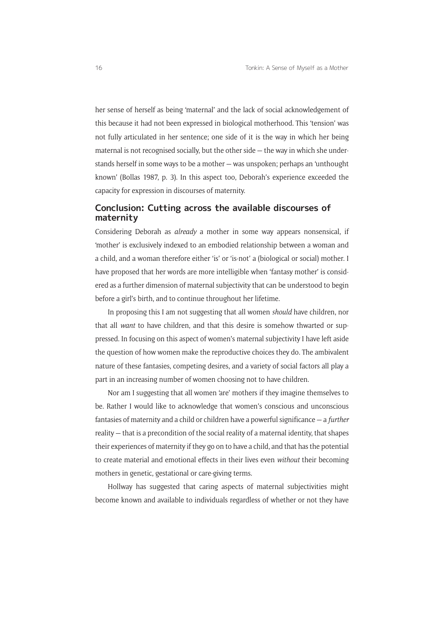her sense of herself as being 'maternal' and the lack of social acknowledgement of this because it had not been expressed in biological motherhood. This 'tension' was not fully articulated in her sentence; one side of it is the way in which her being maternal is not recognised socially, but the other side — the way in which she understands herself in some ways to be a mother — was unspoken; perhaps an 'unthought known' (Bollas 1987, p. 3). In this aspect too, Deborah's experience exceeded the capacity for expression in discourses of maternity.

#### **Conclusion: Cutting across the available discourses of maternity**

Considering Deborah as *already* a mother in some way appears nonsensical, if 'mother' is exclusively indexed to an embodied relationship between a woman and a child, and a woman therefore either 'is' or 'is-not' a (biological or social) mother. I have proposed that her words are more intelligible when 'fantasy mother' is considered as a further dimension of maternal subjectivity that can be understood to begin before a girl's birth, and to continue throughout her lifetime.

In proposing this I am not suggesting that all women *should* have children, nor that all *want* to have children, and that this desire is somehow thwarted or suppressed. In focusing on this aspect of women's maternal subjectivity I have left aside the question of how women make the reproductive choices they do. The ambivalent nature of these fantasies, competing desires, and a variety of social factors all play a part in an increasing number of women choosing not to have children.

Nor am I suggesting that all women 'are' mothers if they imagine themselves to be. Rather I would like to acknowledge that women's conscious and unconscious fantasies of maternity and a child or children have a powerful significance — a *further* reality — that is a precondition of the social reality of a maternal identity, that shapes their experiences of maternity if they go on to have a child, and that has the potential to create material and emotional effects in their lives even *without* their becoming mothers in genetic, gestational or care-giving terms.

Hollway has suggested that caring aspects of maternal subjectivities might become known and available to individuals regardless of whether or not they have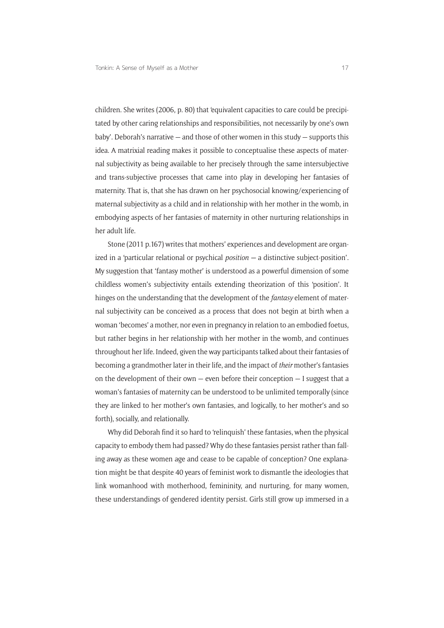children. She writes (2006, p. 80) that 'equivalent capacities to care could be precipitated by other caring relationships and responsibilities, not necessarily by one's own baby'. Deborah's narrative — and those of other women in this study — supports this idea. A matrixial reading makes it possible to conceptualise these aspects of maternal subjectivity as being available to her precisely through the same intersubjective and trans-subjective processes that came into play in developing her fantasies of maternity. That is, that she has drawn on her psychosocial knowing/experiencing of maternal subjectivity as a child and in relationship with her mother in the womb, in embodying aspects of her fantasies of maternity in other nurturing relationships in her adult life.

Stone (2011 p.167) writes that mothers' experiences and development are organized in a 'particular relational or psychical *position —* a distinctive subject-position'. My suggestion that 'fantasy mother' is understood as a powerful dimension of some childless women's subjectivity entails extending theorization of this 'position'. It hinges on the understanding that the development of the *fantasy* element of maternal subjectivity can be conceived as a process that does not begin at birth when a woman 'becomes' a mother, nor even in pregnancy in relation to an embodied foetus, but rather begins in her relationship with her mother in the womb, and continues throughout her life. Indeed, given the way participants talked about their fantasies of becoming a grandmother later in their life, and the impact of *their* mother's fantasies on the development of their own  $-$  even before their conception  $-$  I suggest that a woman's fantasies of maternity can be understood to be unlimited temporally (since they are linked to her mother's own fantasies, and logically, to her mother's and so forth), socially, and relationally.

Why did Deborah find it so hard to 'relinquish' these fantasies, when the physical capacity to embody them had passed? Why do these fantasies persist rather than falling away as these women age and cease to be capable of conception? One explanation might be that despite 40 years of feminist work to dismantle the ideologies that link womanhood with motherhood, femininity, and nurturing, for many women, these understandings of gendered identity persist. Girls still grow up immersed in a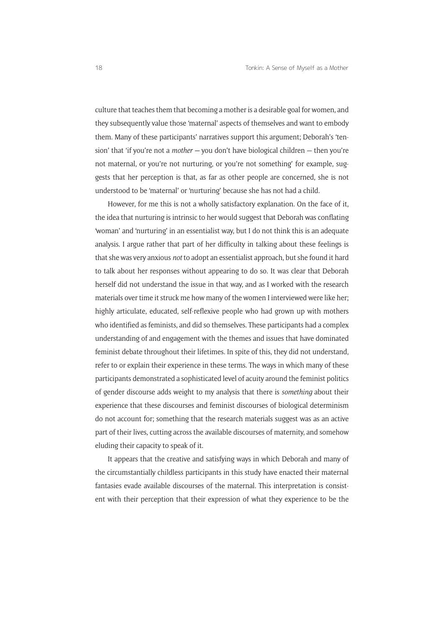culture that teaches them that becoming a mother is a desirable goal for women, and they subsequently value those 'maternal' aspects of themselves and want to embody them. Many of these participants' narratives support this argument; Deborah's 'tension' that 'if you're not a *mother —* you don't have biological children — then you're not maternal, or you're not nurturing, or you're not something' for example, suggests that her perception is that, as far as other people are concerned, she is not understood to be 'maternal' or 'nurturing' because she has not had a child.

However, for me this is not a wholly satisfactory explanation. On the face of it, the idea that nurturing is intrinsic to her would suggest that Deborah was conflating 'woman' and 'nurturing' in an essentialist way, but I do not think this is an adequate analysis. I argue rather that part of her difficulty in talking about these feelings is that she was very anxious *not* to adopt an essentialist approach, but she found it hard to talk about her responses without appearing to do so. It was clear that Deborah herself did not understand the issue in that way, and as I worked with the research materials over time it struck me how many of the women I interviewed were like her; highly articulate, educated, self-reflexive people who had grown up with mothers who identified as feminists, and did so themselves. These participants had a complex understanding of and engagement with the themes and issues that have dominated feminist debate throughout their lifetimes. In spite of this, they did not understand, refer to or explain their experience in these terms. The ways in which many of these participants demonstrated a sophisticated level of acuity around the feminist politics of gender discourse adds weight to my analysis that there is *something* about their experience that these discourses and feminist discourses of biological determinism do not account for; something that the research materials suggest was as an active part of their lives, cutting across the available discourses of maternity, and somehow eluding their capacity to speak of it.

It appears that the creative and satisfying ways in which Deborah and many of the circumstantially childless participants in this study have enacted their maternal fantasies evade available discourses of the maternal. This interpretation is consistent with their perception that their expression of what they experience to be the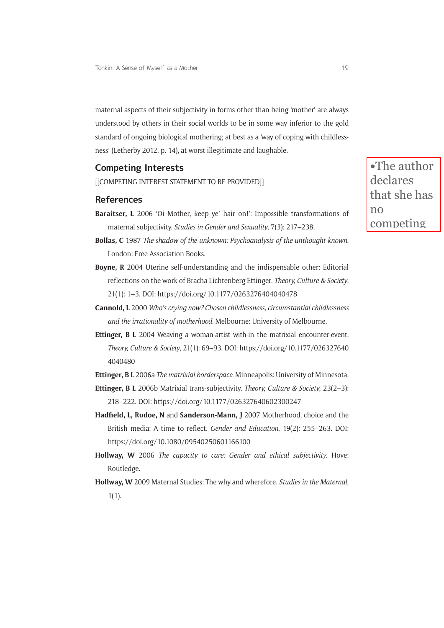maternal aspects of their subjectivity in forms other than being 'mother' are always understood by others in their social worlds to be in some way inferior to the gold standard of ongoing biological mothering; at best as a 'way of coping with childlessness' (Letherby 2012, p. 14), at worst illegitimate and laughable.

#### **Competing Interests**

[[COMPETING INTEREST STATEMENT TO BE PROVIDED]]

#### **References**

- **Baraitser, L** 2006 'Oi Mother, keep ye' hair on!': Impossible transformations of maternal subjectivity. *Studies in Gender and Sexuality*, 7(3): 217–238.
- **Bollas, C** 1987 *The shadow of the unknown: Psychoanalysis of the unthought known*. London: Free Association Books.
- **Boyne, R** 2004 Uterine self-understanding and the indispensable other: Editorial reflections on the work of Bracha Lichtenberg Ettinger. *Theory, Culture & Society*, 21(1): 1–3. DOI:<https://doi.org/10.1177/0263276404040478>
- **Cannold, L** 2000 *Who's crying now? Chosen childlessness, circumstantial childlessness and the irrationality of motherhood*. Melbourne: University of Melbourne.
- **Ettinger, B L** 2004 Weaving a woman-artist with-in the matrixial encounter-event. *Theory, Culture & Society*, 21(1): 69–93. DOI: [https://doi.org/10.1177/026327640](https://doi.org/10.1177/0263276404040480) [4040480](https://doi.org/10.1177/0263276404040480)
- **Ettinger, B L** 2006a *The matrixial borderspace*. Minneapolis: University of Minnesota.
- **Ettinger, B L** 2006b Matrixial trans-subjectivity. *Theory, Culture & Society*, 23(2–3): 218–222. DOI: <https://doi.org/10.1177/026327640602300247>
- **Hadfeld, L, Rudoe, N** and **Sanderson-Mann, J** 2007 Motherhood, choice and the British media: A time to reflect. *Gender and Education*, 19(2): 255–263. DOI: <https://doi.org/10.1080/09540250601166100>
- **Hollway, W** 2006 *The capacity to care: Gender and ethical subjectivity*. Hove: Routledge.
- **Hollway, W** 2009 Maternal Studies: The why and wherefore. *Studies in the Maternal*, 1(1).

**•**The author declares that she has  $n<sub>0</sub>$ competing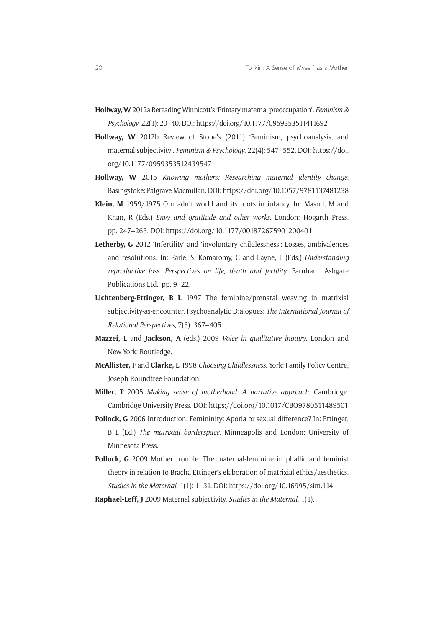- **Hollway, W** 2012a Rereading Winnicott's 'Primary maternal preoccupation'. *Feminism & Psychology*, 22(1): 20–40. DOI:<https://doi.org/10.1177/0959353511411692>
- **Hollway, W** 2012b Review of Stone's (2011) 'Feminism, psychoanalysis, and maternal subjectivity'. *Feminism & Psychology*, 22(4): 547–552. DOI: [https://doi.](https://doi.org/10.1177/0959353512439547) [org/10.1177/0959353512439547](https://doi.org/10.1177/0959353512439547)
- **Hollway, W** 2015 *Knowing mothers: Researching maternal identity change*. Basingstoke: Palgrave Macmillan. DOI:<https://doi.org/10.1057/9781137481238>
- **Klein, M** 1959/1975 Our adult world and its roots in infancy. In: Masud, M and Khan, R (Eds.) *Envy and gratitude and other works*. London: Hogarth Press. pp. 247–263. DOI:<https://doi.org/10.1177/001872675901200401>
- Letherby, G 2012 'Infertility' and 'involuntary childlessness': Losses, ambivalences and resolutions. In: Earle, S, Komaromy, C and Layne, L (Eds.) *Understanding reproductive loss: Perspectives on life, death and fertility*. Farnham: Ashgate Publications Ltd., pp. 9–22.
- **Lichtenberg-Ettinger, B L** 1997 The feminine/prenatal weaving in matrixial subjectivity-as-encounter. Psychoanalytic Dialogues: *The International Journal of Relational Perspectives*, 7(3): 367–405.
- **Mazzei, L** and **Jackson, A** (eds.) 2009 *Voice in qualitative inquiry*. London and New York: Routledge.
- **McAllister, F** and **Clarke, L** 1998 *Choosing Childlessness*. York: Family Policy Centre, Joseph Roundtree Foundation.
- **Miller, T** 2005 *Making sense of motherhood: A narrative approach*. Cambridge: Cambridge University Press. DOI: <https://doi.org/10.1017/CBO9780511489501>
- Pollock, G 2006 Introduction. Femininity: Aporia or sexual difference? In: Ettinger, B L (Ed.) *The matrixial borderspace*. Minneapolis and London: University of Minnesota Press.
- Pollock, G 2009 Mother trouble: The maternal-feminine in phallic and feminist theory in relation to Bracha Ettinger's elaboration of matrixial ethics/aesthetics. *Studies in the Maternal*, 1(1): 1–31. DOI:<https://doi.org/10.16995/sim.114>

**Raphael-Leff, J** 2009 Maternal subjectivity. *Studies in the Maternal*, 1(1).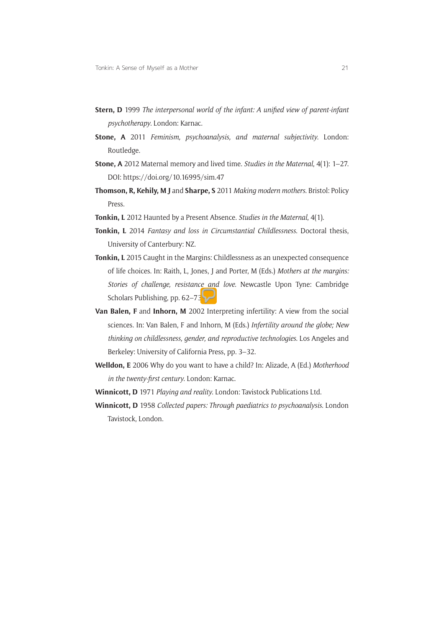- **Stern, D** 1999 *The interpersonal world of the infant: A unifed view of parent-infant psychotherapy*. London: Karnac.
- **Stone, A** 2011 *Feminism, psychoanalysis, and maternal subjectivity*. London: Routledge.
- **Stone, A** 2012 Maternal memory and lived time. *Studies in the Maternal*, 4(1): 1–27. DOI:<https://doi.org/10.16995/sim.47>
- **Thomson, R, Kehily, M J** and **Sharpe, S** 2011 *Making modern mothers*. Bristol: Policy Press.
- **Tonkin, L** 2012 Haunted by a Present Absence. *Studies in the Maternal*, 4(1).
- **Tonkin, L** 2014 *Fantasy and loss in Circumstantial Childlessness*. Doctoral thesis, University of Canterbury: NZ.
- **Tonkin, L** 2015 Caught in the Margins: Childlessness as an unexpected consequence of life choices. In: Raith, L, Jones, J and Porter, M (Eds.) *Mothers at the margins: Stories of challenge, resistance and love*. Newcastle Upon Tyne: Cambridge Scholars Publishing, pp. 62–73.
- **Van Balen, F** and **Inhorn, M** 2002 Interpreting infertility: A view from the social sciences. In: Van Balen, F and Inhorn, M (Eds.) *Infertility around the globe; New thinking on childlessness, gender, and reproductive technologies*. Los Angeles and Berkeley: University of California Press, pp. 3–32.
- **Welldon, E** 2006 Why do you want to have a child? In: Alizade, A (Ed.) *Motherhood in the twenty-frst century*. London: Karnac.
- **Winnicott, D** 1971 *Playing and reality*. London: Tavistock Publications Ltd.
- **Winnicott, D** 1958 *Collected papers: Through paediatrics to psychoanalysis*. London Tavistock, London.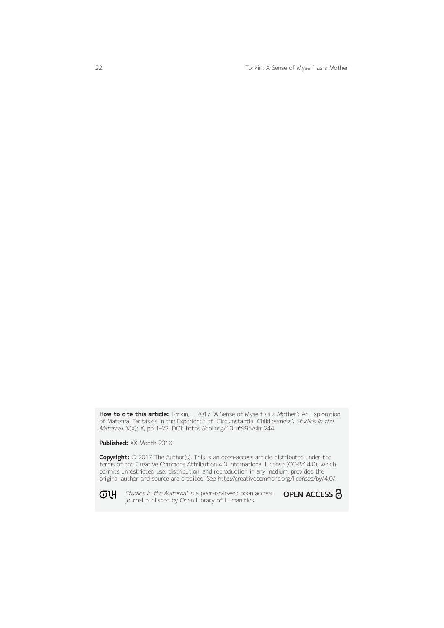22 Tonkin: A Sense of Myself as a Mother

**How to cite this article:** Tonkin, L 2017 'A Sense of Myself as a Mother': An Exploration of Maternal Fantasies in the Experience of 'Circumstantial Childlessness'. Studies in the Maternal, X(X): X, pp. 1–22, DOI:<https://doi.org/10.16995/sim.244>

**Published:** XX Month 201X

**Copyright:** © 2017 The Author(s). This is an open-access article distributed under the terms of the Creative Commons Attribution 4.0 International License (CC-BY 4.0), which permits unrestricted use, distribution, and reproduction in any medium, provided the original author and source are credited. See<http://creativecommons.org/licenses/by/4.0/>.

ወዝ **-**

Studies in the Maternal is a peer-reviewed open access **OPEN ACCESS 3** journal published by Open Library of Humanities.